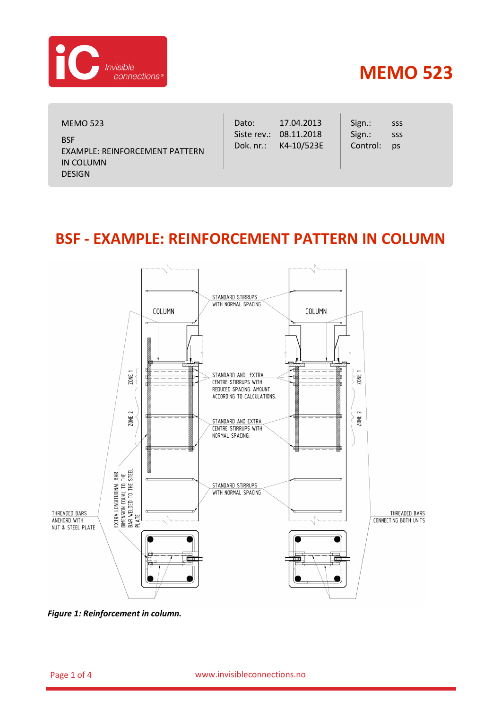

## **MEMO 523**

| <b>MEMO 523</b> |  |
|-----------------|--|
|-----------------|--|

**BSF** EXAMPLE: REINFORCEMENT PATTERN IN COLUMN DESIGN

Dato: Siste rev.: 08.11.2018 Dok. nr.: 17.04.2013 K4-10/523E Sign.: Sign.: Control: sss sss ps

## **BSF - EXAMPLE: REINFORCEMENT PATTERN IN COLUMN**



<span id="page-0-0"></span>*Figure 1: Reinforcement in column.*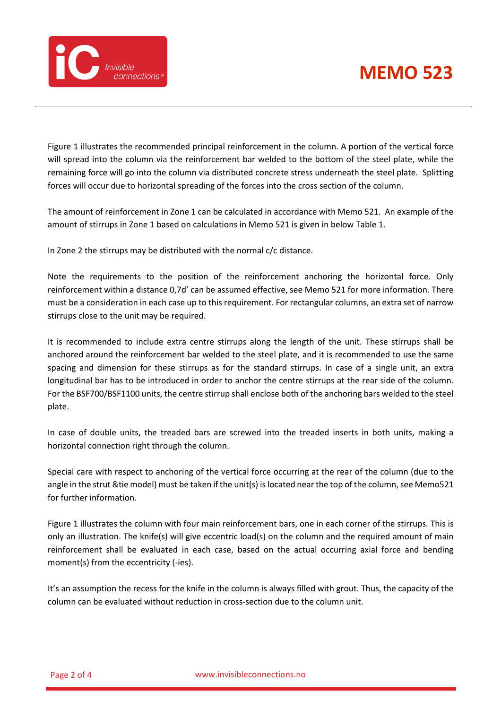## **MEMO 523**



[Figure 1](#page-0-0) illustrates the recommended principal reinforcement in the column. A portion of the vertical force will spread into the column via the reinforcement bar welded to the bottom of the steel plate, while the remaining force will go into the column via distributed concrete stress underneath the steel plate. Splitting forces will occur due to horizontal spreading of the forces into the cross section of the column.

The amount of reinforcement in Zone 1 can be calculated in accordance with Memo 521. An example of the amount of stirrups in Zone 1 based on calculations in Memo 521 is given in below [Table 1.](#page-2-0)

In Zone 2 the stirrups may be distributed with the normal c/c distance.

Note the requirements to the position of the reinforcement anchoring the horizontal force. Only reinforcement within a distance 0,7d' can be assumed effective, see Memo 521 for more information. There must be a consideration in each case up to this requirement. For rectangular columns, an extra set of narrow stirrups close to the unit may be required.

It is recommended to include extra centre stirrups along the length of the unit. These stirrups shall be anchored around the reinforcement bar welded to the steel plate, and it is recommended to use the same spacing and dimension for these stirrups as for the standard stirrups. In case of a single unit, an extra longitudinal bar has to be introduced in order to anchor the centre stirrups at the rear side of the column. For the BSF700/BSF1100 units, the centre stirrup shall enclose both of the anchoring bars welded to the steel plate.

In case of double units, the treaded bars are screwed into the treaded inserts in both units, making a horizontal connection right through the column.

Special care with respect to anchoring of the vertical force occurring at the rear of the column (due to the angle in the strut &tie model) must be taken if the unit(s) is located near the top of the column, see Memo521 for further information.

[Figure 1](#page-0-0) illustrates the column with four main reinforcement bars, one in each corner of the stirrups. This is only an illustration. The knife(s) will give eccentric load(s) on the column and the required amount of main reinforcement shall be evaluated in each case, based on the actual occurring axial force and bending moment(s) from the eccentricity (-ies).

It's an assumption the recess for the knife in the column is always filled with grout. Thus, the capacity of the column can be evaluated without reduction in cross-section due to the column unit.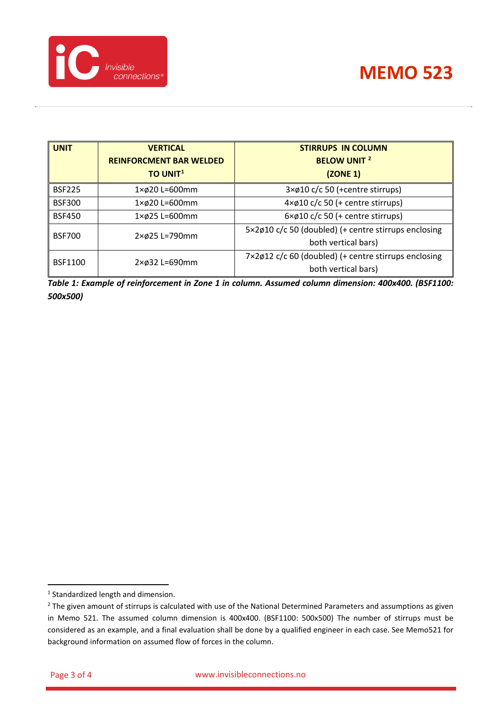

| <b>UNIT</b>    | <b>VERTICAL</b>                 | <b>STIRRUPS IN COLUMN</b>                            |
|----------------|---------------------------------|------------------------------------------------------|
|                | <b>REINFORCMENT BAR WELDED</b>  | <b>BELOW UNIT 2</b>                                  |
|                | <b>TO UNIT1</b>                 | (ZONE 1)                                             |
| <b>BSF225</b>  | $1 \times \emptyset$ 20 L=600mm | 3×ø10 c/c 50 (+centre stirrups)                      |
| <b>BSF300</b>  | $1 \times \emptyset$ 20 L=600mm | $4 \times 010$ c/c 50 (+ centre stirrups)            |
| <b>BSF450</b>  | $1 \times \emptyset$ 25 L=600mm | $6 \times 010$ c/c 50 (+ centre stirrups)            |
| <b>BSF700</b>  | $2 \times \emptyset$ 25 L=790mm | 5×2ø10 c/c 50 (doubled) (+ centre stirrups enclosing |
|                |                                 | both vertical bars)                                  |
| <b>BSF1100</b> | $2 \times \emptyset$ 32 L=690mm | 7×2ø12 c/c 60 (doubled) (+ centre stirrups enclosing |
|                |                                 | both vertical bars)                                  |

<span id="page-2-0"></span>*Table 1: Example of reinforcement in Zone 1 in column. Assumed column dimension: 400x400. (BSF1100: 500x500)*

<span id="page-2-1"></span><sup>&</sup>lt;sup>1</sup> Standardized length and dimension.

<span id="page-2-2"></span><sup>&</sup>lt;sup>2</sup> The given amount of stirrups is calculated with use of the National Determined Parameters and assumptions as given in Memo 521. The assumed column dimension is 400x400. (BSF1100: 500x500) The number of stirrups must be considered as an example, and a final evaluation shall be done by a qualified engineer in each case. See Memo521 for background information on assumed flow of forces in the column.